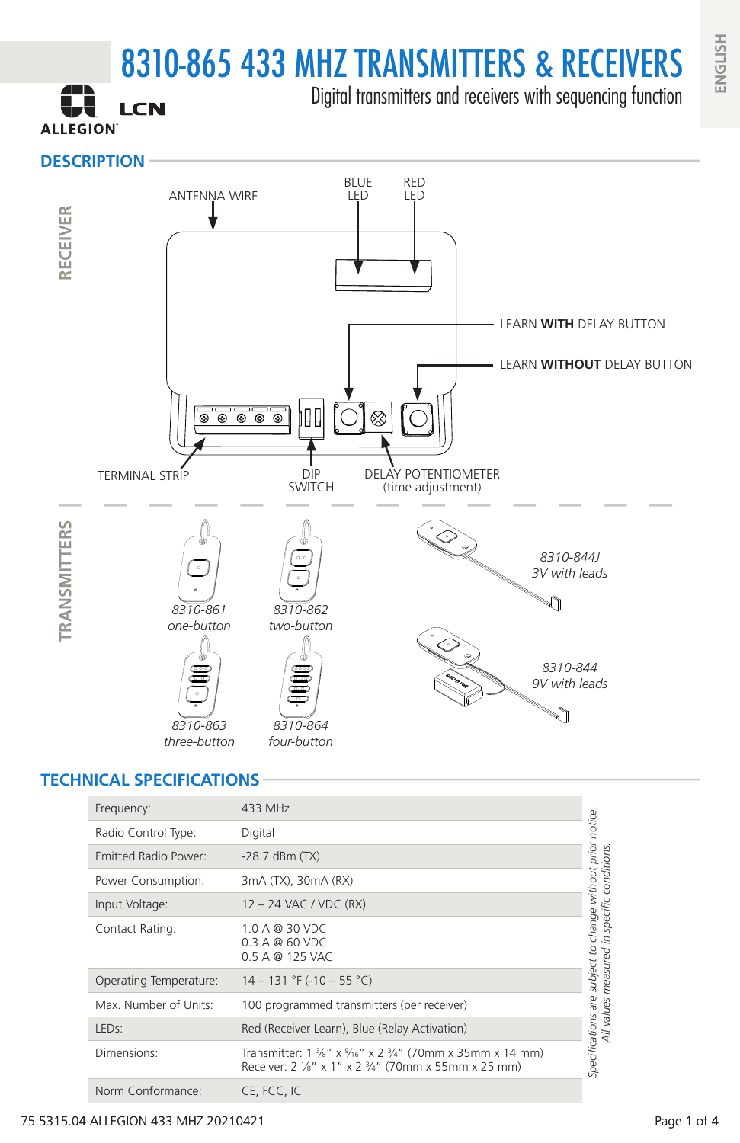# 8310-865 433 MHZ TRANSMITTERS & RECEIVERS

Digital transmitters and receivers with sequencing function

**ENGLISH**

**DESCRIPTION**

**ALLEGION** 

**LCN** 



#### **TECHNICAL SPECIFICATIONS**

| Frequency:             | 433 MHz                                                                                                                                            |
|------------------------|----------------------------------------------------------------------------------------------------------------------------------------------------|
| Radio Control Type:    | Digital                                                                                                                                            |
| Emitted Radio Power:   | $-28.7$ dBm $(TX)$                                                                                                                                 |
| Power Consumption:     | 3mA (TX), 30mA (RX)                                                                                                                                |
| Input Voltage:         | 12 - 24 VAC / VDC (RX)                                                                                                                             |
| Contact Rating:        | 1.0 A @ 30 VDC<br>0.3 A @ 60 VDC<br>0.5 A @ 125 VAC                                                                                                |
| Operating Temperature: | $14 - 131$ °F (-10 - 55 °C)                                                                                                                        |
| Max. Number of Units:  | 100 programmed transmitters (per receiver)                                                                                                         |
| LED <sub>S</sub> :     | Red (Receiver Learn), Blue (Relay Activation)                                                                                                      |
| Dimensions:            | Transmitter: $1\frac{3}{8}$ " x $\frac{9}{16}$ " x 2 $\frac{3}{4}$ " (70mm x 35mm x 14 mm)<br>Receiver: 2 1/8" x 1" x 2 3/4" (70mm x 55mm x 25 mm) |
| Norm Conformance:      | CE, FCC, IC                                                                                                                                        |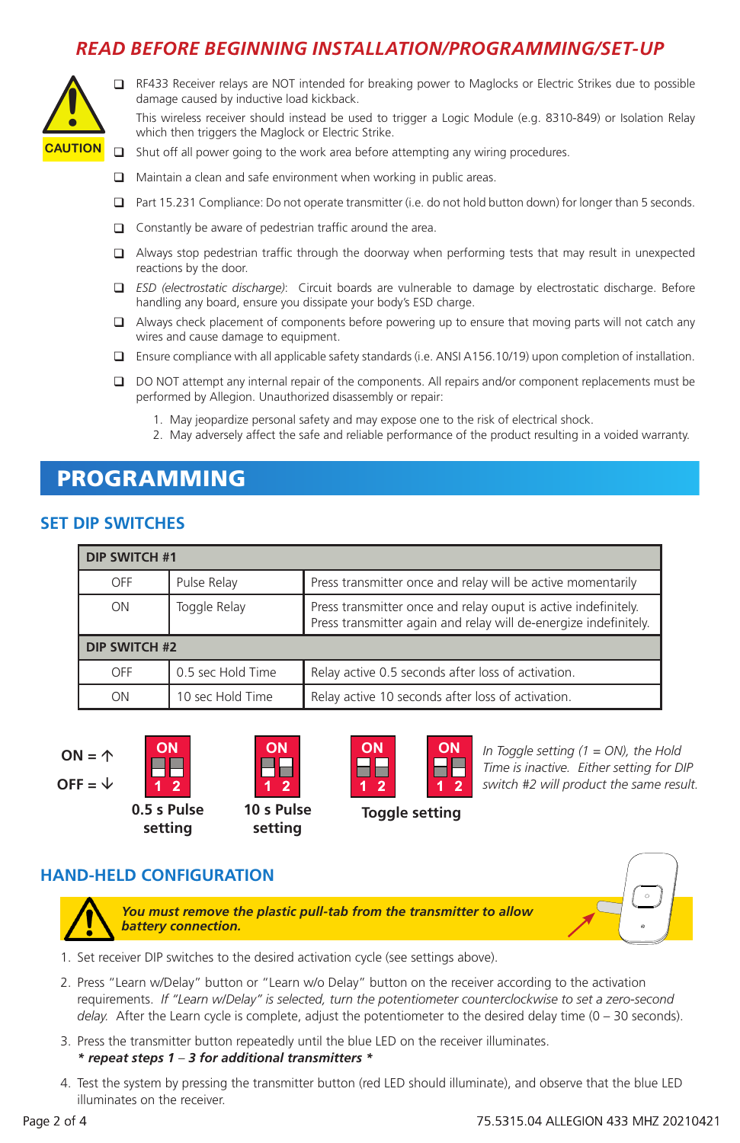### *READ BEFORE BEGINNING INSTALLATION/PROGRAMMING/SET-UP*



□ RF433 Receiver relays are NOT intended for breaking power to Maglocks or Electric Strikes due to possible damage caused by inductive load kickback.

This wireless receiver should instead be used to trigger a Logic Module (e.g. 8310-849) or Isolation Relay which then triggers the Maglock or Electric Strike.

- $\Box$  Shut off all power going to the work area before attempting any wiring procedures.
- $\Box$  Maintain a clean and safe environment when working in public areas.
- □ Part 15.231 Compliance: Do not operate transmitter (i.e. do not hold button down) for longer than 5 seconds.
- $\Box$  Constantly be aware of pedestrian traffic around the area.
- $\Box$  Always stop pedestrian traffic through the doorway when performing tests that may result in unexpected reactions by the door.
- *ESD (electrostatic discharge)*: Circuit boards are vulnerable to damage by electrostatic discharge. Before handling any board, ensure you dissipate your body's ESD charge.
- $\Box$  Always check placement of components before powering up to ensure that moving parts will not catch any wires and cause damage to equipment.
- Ensure compliance with all applicable safety standards (i.e. ANSI A156.10/19) upon completion of installation.
- DO NOT attempt any internal repair of the components. All repairs and/or component replacements must be performed by Allegion. Unauthorized disassembly or repair:
	- 1. May jeopardize personal safety and may expose one to the risk of electrical shock.
	- 2. May adversely affect the safe and reliable performance of the product resulting in a voided warranty.

## PROGRAMMING

#### **SET DIP SWITCHES**

| <b>DIP SWITCH #1</b> |                   |                                                                                                                                    |  |  |  |  |
|----------------------|-------------------|------------------------------------------------------------------------------------------------------------------------------------|--|--|--|--|
| OFF                  | Pulse Relay       | Press transmitter once and relay will be active momentarily                                                                        |  |  |  |  |
| Toggle Relay<br>ON   |                   | Press transmitter once and relay ouput is active indefinitely.<br>Press transmitter again and relay will de-energize indefinitely. |  |  |  |  |
| <b>DIP SWITCH #2</b> |                   |                                                                                                                                    |  |  |  |  |
| OFF                  | 0.5 sec Hold Time | Relay active 0.5 seconds after loss of activation.                                                                                 |  |  |  |  |
| ΟN                   | 10 sec Hold Time  | Relay active 10 seconds after loss of activation.                                                                                  |  |  |  |  |

**ON**

 $ON = \Lambda$ 

 $OFF = \sqrt{2}$ 



**0.5 s Pulse setting**

**1 2**

**ON**



**setting**

**10 s Pulse** 



*In Toggle setting (1 = ON), the Hold Time is inactive. Either setting for DIP switch #2 will product the same result.*

**Toggle setting**

**HAND-HELD CONFIGURATION**

*You must remove the plastic pull-tab from the transmitter to allow battery connection.*



- 1. Set receiver DIP switches to the desired activation cycle (see settings above).
- 2. Press "Learn w/Delay" button or "Learn w/o Delay" button on the receiver according to the activation requirements. *If "Learn w/Delay" is selected, turn the potentiometer counterclockwise to set a zero-second delay.* After the Learn cycle is complete, adjust the potentiometer to the desired delay time (0 – 30 seconds).
- 3. Press the transmitter button repeatedly until the blue LED on the receiver illuminates. *\* repeat steps 1* – *3 for additional transmitters \**
- 4. Test the system by pressing the transmitter button (red LED should illuminate), and observe that the blue LED illuminates on the receiver.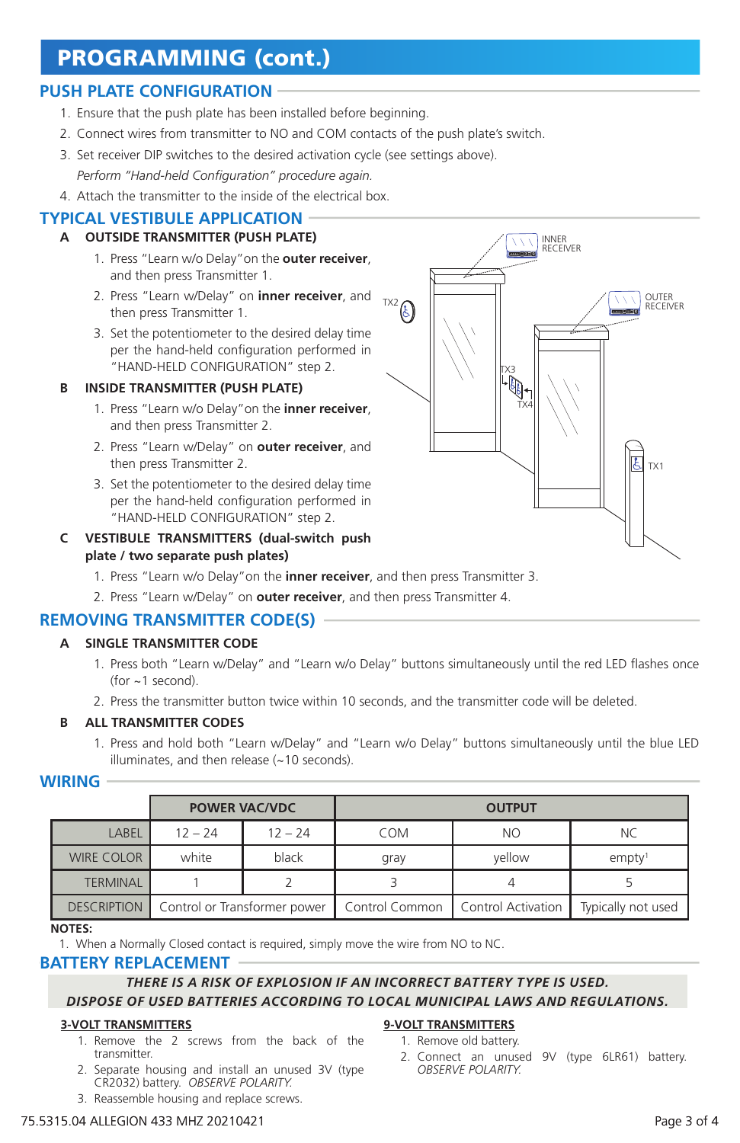## PROGRAMMING (cont.)

#### **PUSH PLATE CONFIGURATION**

- 1. Ensure that the push plate has been installed before beginning.
- 2. Connect wires from transmitter to NO and COM contacts of the push plate's switch.
- 3. Set receiver DIP switches to the desired activation cycle (see settings above). *Perform "Hand-held Configuration" procedure again.*
- 4. Attach the transmitter to the inside of the electrical box.

#### **TYPICAL VESTIBULE APPLICATION**

#### **A OUTSIDE TRANSMITTER (PUSH PLATE)**

- 1. Press "Learn w/o Delay"on the **outer receiver**, and then press Transmitter 1.
- 2. Press "Learn w/Delay" on **inner receiver**, and then press Transmitter 1.
- 3. Set the potentiometer to the desired delay time per the hand-held configuration performed in "HAND-HELD CONFIGURATION" step 2.

#### **B INSIDE TRANSMITTER (PUSH PLATE)**

- 1. Press "Learn w/o Delay"on the **inner receiver**, and then press Transmitter 2.
- 2. Press "Learn w/Delay" on **outer receiver**, and then press Transmitter 2.
- 3. Set the potentiometer to the desired delay time per the hand-held configuration performed in "HAND-HELD CONFIGURATION" step 2.
- **C VESTIBULE TRANSMITTERS (dual-switch push plate / two separate push plates)**
	- 1. Press "Learn w/o Delay"on the **inner receiver**, and then press Transmitter 3.
	- 2. Press "Learn w/Delay" on **outer receiver**, and then press Transmitter 4.

#### **REMOVING TRANSMITTER CODE(S)**

#### **A SINGLE TRANSMITTER CODE**

- 1. Press both "Learn w/Delay" and "Learn w/o Delay" buttons simultaneously until the red LED flashes once  $(for -1 second)$ .
- 2. Press the transmitter button twice within 10 seconds, and the transmitter code will be deleted.

#### **B ALL TRANSMITTER CODES**

1. Press and hold both "Learn w/Delay" and "Learn w/o Delay" buttons simultaneously until the blue LED illuminates, and then release (~10 seconds).

#### **WIRING**

|                    | <b>POWER VAC/VDC</b>         |           |                |                    |                    |
|--------------------|------------------------------|-----------|----------------|--------------------|--------------------|
| LABEL              | $12 - 24$                    | $12 - 24$ | <b>COM</b>     | <b>NO</b>          | NC.                |
| <b>WIRE COLOR</b>  | white                        | black     | gray           | vellow             | empty <sup>1</sup> |
| <b>TERMINAL</b>    |                              |           |                |                    |                    |
| <b>DESCRIPTION</b> | Control or Transformer power |           | Control Common | Control Activation | Typically not used |

#### **NOTES:**

1. When a Normally Closed contact is required, simply move the wire from NO to NC.

#### **BATTERY REPLACEMENT**

#### *THERE IS A RISK OF EXPLOSION IF AN INCORRECT BATTERY TYPE IS USED. DISPOSE OF USED BATTERIES ACCORDING TO LOCAL MUNICIPAL LAWS AND REGULATIONS.*

#### **3-VOLT TRANSMITTERS**

- 1. Remove the 2 screws from the back of the transmitter.
- 2. Separate housing and install an unused 3V (type CR2032) battery. *OBSERVE POLARITY.*
- 3. Reassemble housing and replace screws.

## いい INNER RECEIVER  $T^{\chi_2}$ OUTER XXX **RECEIVER**  $\bar{\mathbb{Q}}$ TX4 TX1

#### **9-VOLT TRANSMITTERS** 1. Remove old battery.

2. Connect an unused 9V (type 6LR61) battery. *OBSERVE POLARITY.*